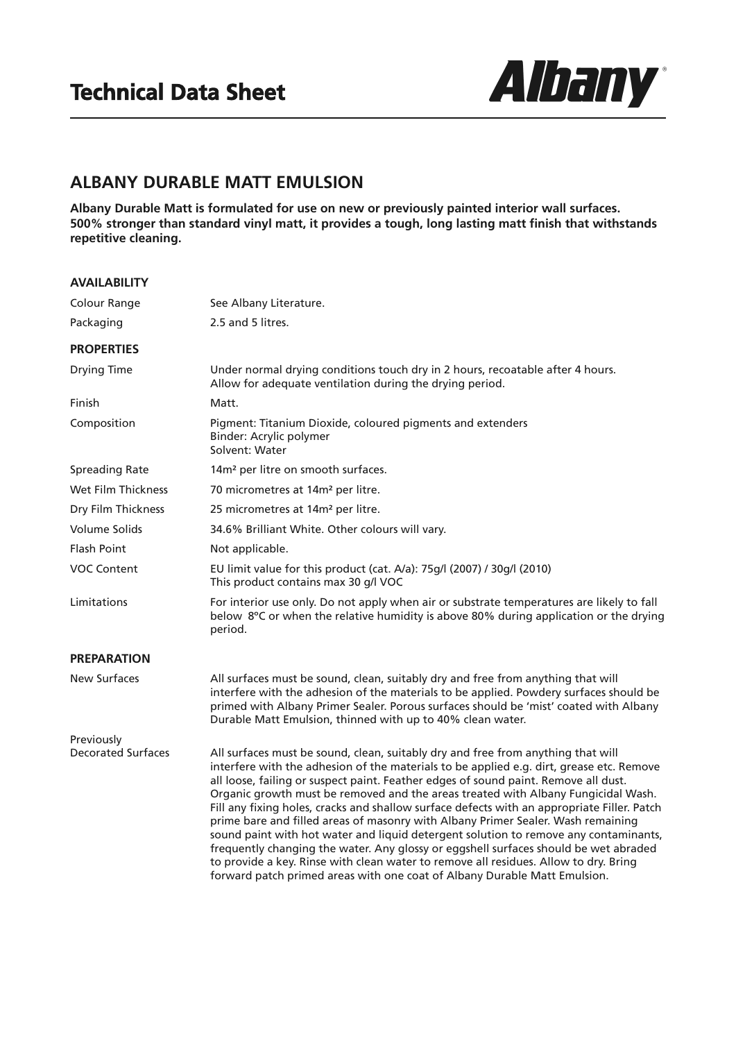

## **ALBANY DURABLE MATT EMULSION**

**Albany Durable Matt is formulated for use on new or previously painted interior wall surfaces. 500% stronger than standard vinyl matt, it provides a tough, long lasting matt finish that withstands repetitive cleaning.**

| <b>AVAILABILITY</b>       |                                                                                                                                                                                                                                                                                                                                                                                                                                                                                                                                                                                                                                                                                                                                                                                                                                                                                                  |
|---------------------------|--------------------------------------------------------------------------------------------------------------------------------------------------------------------------------------------------------------------------------------------------------------------------------------------------------------------------------------------------------------------------------------------------------------------------------------------------------------------------------------------------------------------------------------------------------------------------------------------------------------------------------------------------------------------------------------------------------------------------------------------------------------------------------------------------------------------------------------------------------------------------------------------------|
| Colour Range              | See Albany Literature.                                                                                                                                                                                                                                                                                                                                                                                                                                                                                                                                                                                                                                                                                                                                                                                                                                                                           |
| Packaging                 | 2.5 and 5 litres.                                                                                                                                                                                                                                                                                                                                                                                                                                                                                                                                                                                                                                                                                                                                                                                                                                                                                |
| <b>PROPERTIES</b>         |                                                                                                                                                                                                                                                                                                                                                                                                                                                                                                                                                                                                                                                                                                                                                                                                                                                                                                  |
| Drying Time               | Under normal drying conditions touch dry in 2 hours, recoatable after 4 hours.<br>Allow for adequate ventilation during the drying period.                                                                                                                                                                                                                                                                                                                                                                                                                                                                                                                                                                                                                                                                                                                                                       |
| Finish                    | Matt.                                                                                                                                                                                                                                                                                                                                                                                                                                                                                                                                                                                                                                                                                                                                                                                                                                                                                            |
| Composition               | Pigment: Titanium Dioxide, coloured pigments and extenders<br>Binder: Acrylic polymer<br>Solvent: Water                                                                                                                                                                                                                                                                                                                                                                                                                                                                                                                                                                                                                                                                                                                                                                                          |
| <b>Spreading Rate</b>     | 14m <sup>2</sup> per litre on smooth surfaces.                                                                                                                                                                                                                                                                                                                                                                                                                                                                                                                                                                                                                                                                                                                                                                                                                                                   |
| Wet Film Thickness        | 70 micrometres at 14m <sup>2</sup> per litre.                                                                                                                                                                                                                                                                                                                                                                                                                                                                                                                                                                                                                                                                                                                                                                                                                                                    |
| Dry Film Thickness        | 25 micrometres at 14m <sup>2</sup> per litre.                                                                                                                                                                                                                                                                                                                                                                                                                                                                                                                                                                                                                                                                                                                                                                                                                                                    |
| <b>Volume Solids</b>      | 34.6% Brilliant White. Other colours will vary.                                                                                                                                                                                                                                                                                                                                                                                                                                                                                                                                                                                                                                                                                                                                                                                                                                                  |
| <b>Flash Point</b>        | Not applicable.                                                                                                                                                                                                                                                                                                                                                                                                                                                                                                                                                                                                                                                                                                                                                                                                                                                                                  |
| <b>VOC Content</b>        | EU limit value for this product (cat. A/a): 75g/l (2007) / 30g/l (2010)<br>This product contains max 30 g/l VOC                                                                                                                                                                                                                                                                                                                                                                                                                                                                                                                                                                                                                                                                                                                                                                                  |
| Limitations               | For interior use only. Do not apply when air or substrate temperatures are likely to fall<br>below 8°C or when the relative humidity is above 80% during application or the drying<br>period.                                                                                                                                                                                                                                                                                                                                                                                                                                                                                                                                                                                                                                                                                                    |
| <b>PREPARATION</b>        |                                                                                                                                                                                                                                                                                                                                                                                                                                                                                                                                                                                                                                                                                                                                                                                                                                                                                                  |
| <b>New Surfaces</b>       | All surfaces must be sound, clean, suitably dry and free from anything that will<br>interfere with the adhesion of the materials to be applied. Powdery surfaces should be<br>primed with Albany Primer Sealer. Porous surfaces should be 'mist' coated with Albany<br>Durable Matt Emulsion, thinned with up to 40% clean water.                                                                                                                                                                                                                                                                                                                                                                                                                                                                                                                                                                |
| Previously                |                                                                                                                                                                                                                                                                                                                                                                                                                                                                                                                                                                                                                                                                                                                                                                                                                                                                                                  |
| <b>Decorated Surfaces</b> | All surfaces must be sound, clean, suitably dry and free from anything that will<br>interfere with the adhesion of the materials to be applied e.g. dirt, grease etc. Remove<br>all loose, failing or suspect paint. Feather edges of sound paint. Remove all dust.<br>Organic growth must be removed and the areas treated with Albany Fungicidal Wash.<br>Fill any fixing holes, cracks and shallow surface defects with an appropriate Filler. Patch<br>prime bare and filled areas of masonry with Albany Primer Sealer. Wash remaining<br>sound paint with hot water and liquid detergent solution to remove any contaminants,<br>frequently changing the water. Any glossy or eggshell surfaces should be wet abraded<br>to provide a key. Rinse with clean water to remove all residues. Allow to dry. Bring<br>forward patch primed areas with one coat of Albany Durable Matt Emulsion. |